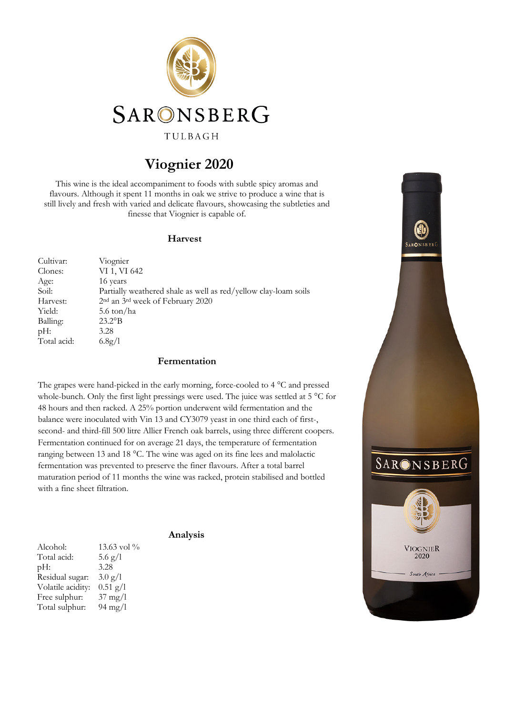

# **Viognier 2020**

This wine is the ideal accompaniment to foods with subtle spicy aromas and flavours. Although it spent 11 months in oak we strive to produce a wine that is still lively and fresh with varied and delicate flavours, showcasing the subtleties and finesse that Viognier is capable of.

#### **Harvest**

| Cultivar:   | Viognier                                                        |
|-------------|-----------------------------------------------------------------|
| Clones:     | VI 1, VI 642                                                    |
| Age:        | 16 years                                                        |
| Soil:       | Partially weathered shale as well as red/yellow clay-loam soils |
| Harvest:    | 2 <sup>nd</sup> an 3 <sup>rd</sup> week of February 2020        |
| Yield:      | 5.6 ton/ha                                                      |
| Balling:    | $23.2^{\circ}B$                                                 |
| $pH$ :      | 3.28                                                            |
| Total acid: | 6.8g/l                                                          |

#### **Fermentation**

The grapes were hand-picked in the early morning, force-cooled to 4 °C and pressed whole-bunch. Only the first light pressings were used. The juice was settled at 5 °C for 48 hours and then racked. A 25% portion underwent wild fermentation and the balance were inoculated with Vin 13 and CY3079 yeast in one third each of first-, second- and third-fill 500 litre Allier French oak barrels, using three different coopers. Fermentation continued for on average 21 days, the temperature of fermentation ranging between 13 and 18 °C. The wine was aged on its fine lees and malolactic fermentation was prevented to preserve the finer flavours. After a total barrel maturation period of 11 months the wine was racked, protein stabilised and bottled with a fine sheet filtration.

**Analysis**

Alcohol: 13.63 vol % Total acid:  $5.6 \text{ g}/l$ pH: 3.28 Residual sugar: 3.0 g/l Volatile acidity: 0.51 g/l Free sulphur: 37 mg/l Total sulphur: 94 mg/l